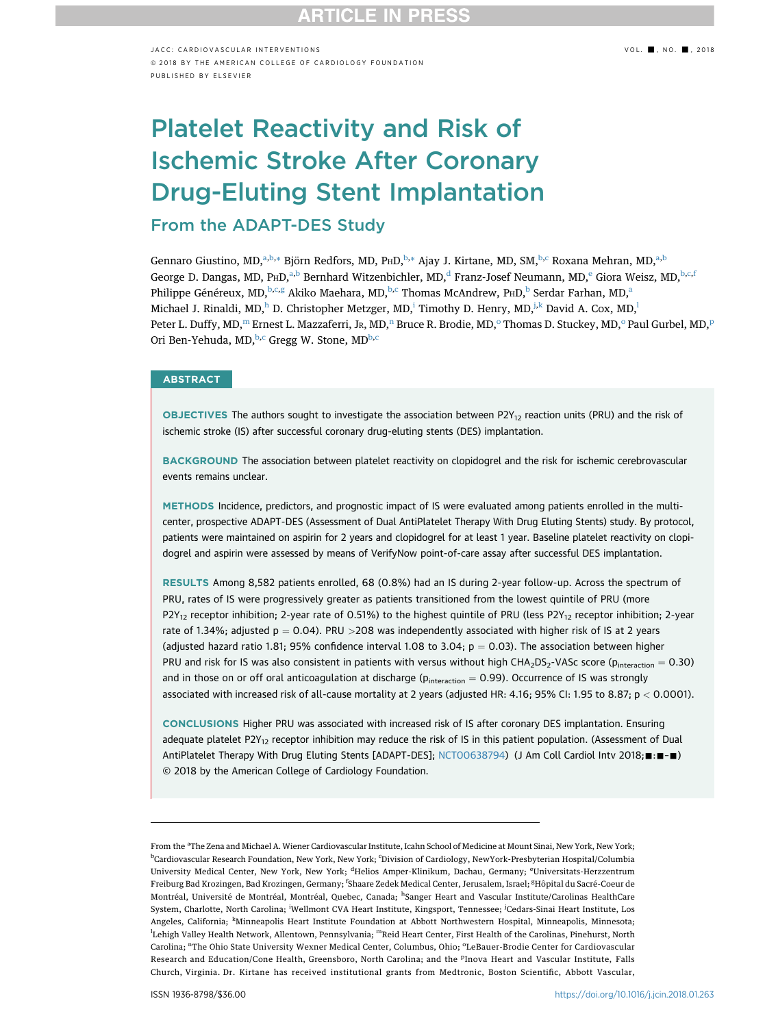JACC: CARDIOVASCUI AR INTERVENTIONS VOL. IL VOL. IL VOL. IL VOL. IL VOL. IL 2018 ª 2018 BY THE AMERICAN COLLEGE OF CARDIOLOGY FOUNDATION PUBLISHED BY ELSEVIER

## Platelet Reactivity and Risk of Ischemic Stroke After Coronary Drug-Eluting Stent Implantation

## From the ADAPT-DES Study

Gennaro Giustino, MD,<sup>a,b,</sup>\* Björn Redfors, MD, P<code>HD,b,\*</code> Ajay J. Kirtane, MD, SM, $^{\rm b,c}$  Roxana Mehran, MD, $^{\rm a,b}$ George D. Dangas, MD, P $HD$ ,<sup>a,b</sup> Bernhard Witzenbichler, MD,<sup>d</sup> Franz-Josef Neumann, MD,<sup>e</sup> Giora Weisz, MD,<sup>b,c,f</sup> Philippe Généreux, MD, b,c,g Akiko Maehara, MD, b,c Thomas McAndrew, P $HD$ , Serdar Farhan, MD,<sup>a</sup> Michael J. Rinaldi, MD,<sup>h</sup> D. Christopher Metzger, MD,<sup>i</sup> Timothy D. Henry, MD,<sup>j,k</sup> David A. Cox, MD,<sup>l</sup> Peter L. Duffy, MD,<sup>m</sup> Ernest L. Mazzaferri, Jr., MD,<sup>n</sup> Bruce R. Brodie, MD,<sup>o</sup> Thomas D. Stuckey, MD,<sup>o</sup> Paul Gurbel, MD,<sup>p</sup> Ori Ben-Yehuda, MD,<sup>b,c</sup> Gregg W. Stone, MD<sup>b,c</sup>

#### ABSTRACT

OBJECTIVES The authors sought to investigate the association between P2Y<sub>12</sub> reaction units (PRU) and the risk of ischemic stroke (IS) after successful coronary drug-eluting stents (DES) implantation.

BACKGROUND The association between platelet reactivity on clopidogrel and the risk for ischemic cerebrovascular events remains unclear.

METHODS Incidence, predictors, and prognostic impact of IS were evaluated among patients enrolled in the multicenter, prospective ADAPT-DES (Assessment of Dual AntiPlatelet Therapy With Drug Eluting Stents) study. By protocol, patients were maintained on aspirin for 2 years and clopidogrel for at least 1 year. Baseline platelet reactivity on clopidogrel and aspirin were assessed by means of VerifyNow point-of-care assay after successful DES implantation.

RESULTS Among 8,582 patients enrolled, 68 (0.8%) had an IS during 2-year follow-up. Across the spectrum of PRU, rates of IS were progressively greater as patients transitioned from the lowest quintile of PRU (more  $P2Y_{12}$  receptor inhibition; 2-year rate of 0.51%) to the highest quintile of PRU (less P2Y<sub>12</sub> receptor inhibition; 2-year rate of 1.34%; adjusted  $p = 0.04$ ). PRU >208 was independently associated with higher risk of IS at 2 years (adjusted hazard ratio 1.81; 95% confidence interval 1.08 to 3.04;  $p = 0.03$ ). The association between higher PRU and risk for IS was also consistent in patients with versus without high CHA<sub>2</sub>DS<sub>2</sub>-VASc score (p<sub>interaction</sub> = 0.30) and in those on or off oral anticoagulation at discharge ( $p_{interaction} = 0.99$ ). Occurrence of IS was strongly associated with increased risk of all-cause mortality at 2 years (adjusted HR: 4.16; 95% CI: 1.95 to 8.87; p < 0.0001).

CONCLUSIONS Higher PRU was associated with increased risk of IS after coronary DES implantation. Ensuring adequate platelet P2Y<sub>12</sub> receptor inhibition may reduce the risk of IS in this patient population. (Assessment of Dual AntiPlatelet Therapy With Drug Eluting Stents [ADAPT-DES]; [NCT00638794\)](https://www.clinicaltrials.gov/ct2/show/NCT00638794) (J Am Coll Cardiol Intv 2018; : = - ) © 2018 by the American College of Cardiology Foundation.

From the <sup>a</sup>The Zena and Michael A. Wiener Cardiovascular Institute, Icahn School of Medicine at Mount Sinai, New York, New York; <sup>b</sup>Cardiovascular Research Foundation, New York, New York; 'Division of Cardiology, NewYork-Presbyterian Hospital/Columbia University Medical Center, New York, New York; <sup>d</sup>Helios Amper-Klinikum, Dachau, Germany; <sup>e</sup>Universitats-Herzzentrum Freiburg Bad Krozingen, Bad Krozingen, Germany; <sup>f</sup>Shaare Zedek Medical Center, Jerusalem, Israel; <sup>g</sup>Hôpital du Sacré-Coeur de Montréal, Université de Montréal, Montréal, Quebec, Canada; <sup>h</sup>Sanger Heart and Vascular Institute/Carolinas HealthCare System, Charlotte, North Carolina; <sup>i</sup>Wellmont CVA Heart Institute, Kingsport, Tennessee; <sup>j</sup>Cedars-Sinai Heart Institute, Los Angeles, California; <sup>k</sup>Minneapolis Heart Institute Foundation at Abbott Northwestern Hospital, Minneapolis, Minnesota; <sup>l</sup>Lehigh Valley Health Network, Allentown, Pennsylvania; <sup>m</sup>Reid Heart Center, First Health of the Carolinas, Pinehurst, North Carolina; <sup>n</sup>The Ohio State University Wexner Medical Center, Columbus, Ohio; <sup>o</sup>LeBauer-Brodie Center for Cardiovascular Research and Education/Cone Health, Greensboro, North Carolina; and the <sup>p</sup>Inova Heart and Vascular Institute, Falls Church, Virginia. Dr. Kirtane has received institutional grants from Medtronic, Boston Scientific, Abbott Vascular,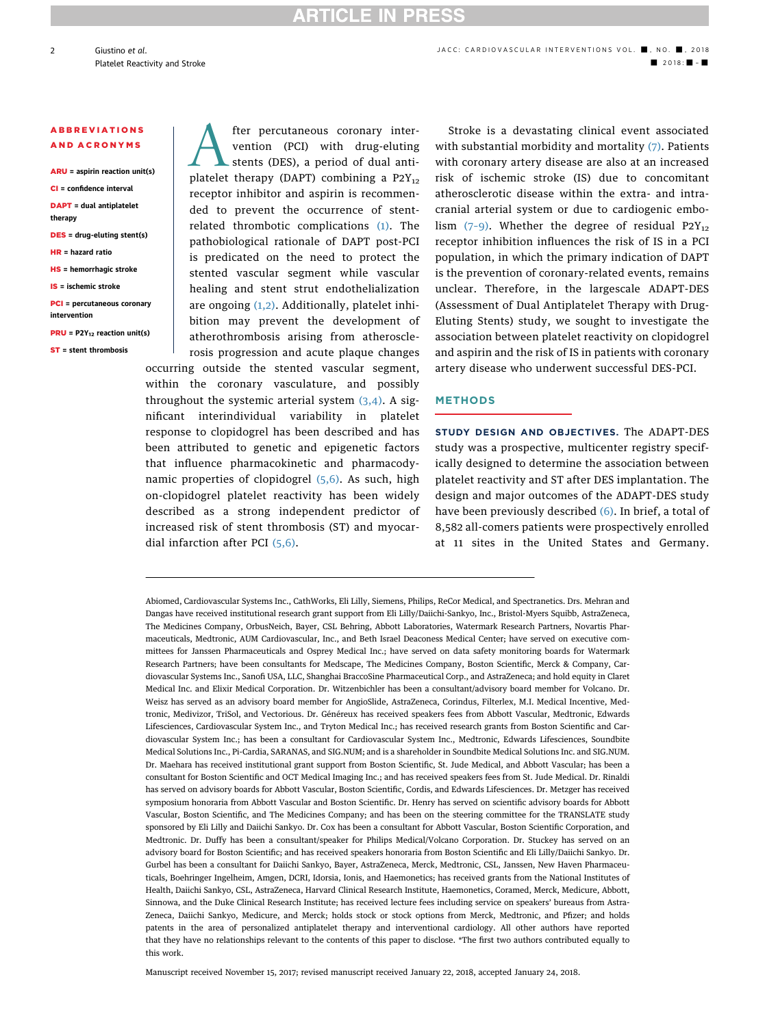## **RTICLE IN PRES**

### ABBREVIATIONS AND ACRONYMS

ARU = aspirin reaction unit(s)

- CI = confidence interval DAPT = dual antiplatelet
- therapy

HR = hazard ratio

- DES = drug-eluting stent(s)
- HS = hemorrhagic stroke
- IS = ischemic stroke
- PCI = percutaneous coronary intervention
- **PRU** =  $P2Y_{12}$  reaction unit(s)

ST = stent thrombosis

**A** fter percutaneous coronary inter-<br>vention (PCI) with drug-eluting<br>platelet therapy (DAPT) combining a P2Y<sub>12</sub> vention (PCI) with drug-eluting stents (DES), a period of dual antireceptor inhibitor and aspirin is recommended to prevent the occurrence of stentrelated thrombotic complications [\(1\)](#page--1-0). The pathobiological rationale of DAPT post-PCI is predicated on the need to protect the stented vascular segment while vascular healing and stent strut endothelialization are ongoing [\(1,2\)](#page--1-0). Additionally, platelet inhibition may prevent the development of atherothrombosis arising from atherosclerosis progression and acute plaque changes occurring outside the stented vascular segment, within the coronary vasculature, and possibly throughout the systemic arterial system  $(3,4)$ . A significant interindividual variability in platelet response to clopidogrel has been described and has been attributed to genetic and epigenetic factors

that influence pharmacokinetic and pharmacodynamic properties of clopidogrel [\(5,6\).](#page--1-0) As such, high on-clopidogrel platelet reactivity has been widely described as a strong independent predictor of increased risk of stent thrombosis (ST) and myocardial infarction after PCI [\(5,6\).](#page--1-0)

Stroke is a devastating clinical event associated with substantial morbidity and mortality [\(7\)](#page--1-0). Patients with coronary artery disease are also at an increased risk of ischemic stroke (IS) due to concomitant atherosclerotic disease within the extra- and intracranial arterial system or due to cardiogenic embolism  $(7-9)$  $(7-9)$ . Whether the degree of residual P2Y<sub>12</sub> receptor inhibition influences the risk of IS in a PCI population, in which the primary indication of DAPT is the prevention of coronary-related events, remains unclear. Therefore, in the largescale ADAPT-DES (Assessment of Dual Antiplatelet Therapy with Drug-Eluting Stents) study, we sought to investigate the association between platelet reactivity on clopidogrel and aspirin and the risk of IS in patients with coronary artery disease who underwent successful DES-PCI.

### **METHODS**

STUDY DESIGN AND OBJECTIVES. The ADAPT-DES study was a prospective, multicenter registry specifically designed to determine the association between platelet reactivity and ST after DES implantation. The design and major outcomes of the ADAPT-DES study have been previously described [\(6\)](#page--1-0). In brief, a total of 8,582 all-comers patients were prospectively enrolled at 11 sites in the United States and Germany.

Manuscript received November 15, 2017; revised manuscript received January 22, 2018, accepted January 24, 2018.

2

Abiomed, Cardiovascular Systems Inc., CathWorks, Eli Lilly, Siemens, Philips, ReCor Medical, and Spectranetics. Drs. Mehran and Dangas have received institutional research grant support from Eli Lilly/Daiichi-Sankyo, Inc., Bristol-Myers Squibb, AstraZeneca, The Medicines Company, OrbusNeich, Bayer, CSL Behring, Abbott Laboratories, Watermark Research Partners, Novartis Pharmaceuticals, Medtronic, AUM Cardiovascular, Inc., and Beth Israel Deaconess Medical Center; have served on executive committees for Janssen Pharmaceuticals and Osprey Medical Inc.; have served on data safety monitoring boards for Watermark Research Partners; have been consultants for Medscape, The Medicines Company, Boston Scientific, Merck & Company, Cardiovascular Systems Inc., Sanofi USA, LLC, Shanghai BraccoSine Pharmaceutical Corp., and AstraZeneca; and hold equity in Claret Medical Inc. and Elixir Medical Corporation. Dr. Witzenbichler has been a consultant/advisory board member for Volcano. Dr. Weisz has served as an advisory board member for AngioSlide, AstraZeneca, Corindus, Filterlex, M.I. Medical Incentive, Medtronic, Medivizor, TriSol, and Vectorious. Dr. Généreux has received speakers fees from Abbott Vascular, Medtronic, Edwards Lifesciences, Cardiovascular System Inc., and Tryton Medical Inc.; has received research grants from Boston Scientific and Cardiovascular System Inc.; has been a consultant for Cardiovascular System Inc., Medtronic, Edwards Lifesciences, Soundbite Medical Solutions Inc., Pi-Cardia, SARANAS, and SIG.NUM; and is a shareholder in Soundbite Medical Solutions Inc. and SIG.NUM. Dr. Maehara has received institutional grant support from Boston Scientific, St. Jude Medical, and Abbott Vascular; has been a consultant for Boston Scientific and OCT Medical Imaging Inc.; and has received speakers fees from St. Jude Medical. Dr. Rinaldi has served on advisory boards for Abbott Vascular, Boston Scientific, Cordis, and Edwards Lifesciences. Dr. Metzger has received symposium honoraria from Abbott Vascular and Boston Scientific. Dr. Henry has served on scientific advisory boards for Abbott Vascular, Boston Scientific, and The Medicines Company; and has been on the steering committee for the TRANSLATE study sponsored by Eli Lilly and Daiichi Sankyo. Dr. Cox has been a consultant for Abbott Vascular, Boston Scientific Corporation, and Medtronic. Dr. Duffy has been a consultant/speaker for Philips Medical/Volcano Corporation. Dr. Stuckey has served on an advisory board for Boston Scientific; and has received speakers honoraria from Boston Scientific and Eli Lilly/Daiichi Sankyo. Dr. Gurbel has been a consultant for Daiichi Sankyo, Bayer, AstraZeneca, Merck, Medtronic, CSL, Janssen, New Haven Pharmaceuticals, Boehringer Ingelheim, Amgen, DCRI, Idorsia, Ionis, and Haemonetics; has received grants from the National Institutes of Health, Daiichi Sankyo, CSL, AstraZeneca, Harvard Clinical Research Institute, Haemonetics, Coramed, Merck, Medicure, Abbott, Sinnowa, and the Duke Clinical Research Institute; has received lecture fees including service on speakers' bureaus from Astra-Zeneca, Daiichi Sankyo, Medicure, and Merck; holds stock or stock options from Merck, Medtronic, and Pfizer; and holds patents in the area of personalized antiplatelet therapy and interventional cardiology. All other authors have reported that they have no relationships relevant to the contents of this paper to disclose. \*The first two authors contributed equally to this work.